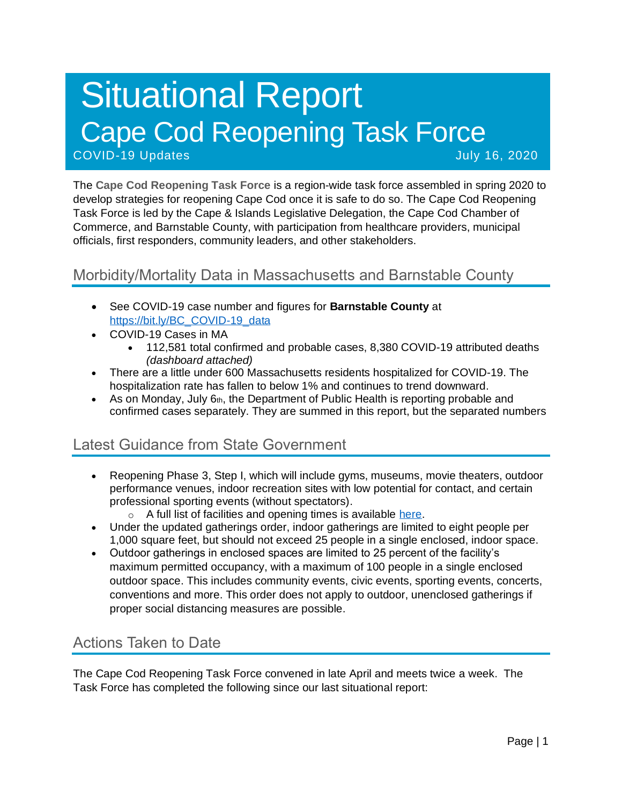# Situational Report Cape Cod Reopening Task Force COVID-19 Updates July 16, 2020

The **Cape Cod Reopening Task Force** is a region-wide task force assembled in spring 2020 to develop strategies for reopening Cape Cod once it is safe to do so. The Cape Cod Reopening Task Force is led by the Cape & Islands Legislative Delegation, the Cape Cod Chamber of Commerce, and Barnstable County, with participation from healthcare providers, municipal officials, first responders, community leaders, and other stakeholders.

### Morbidity/Mortality Data in Massachusetts and Barnstable County

- See COVID-19 case number and figures for **Barnstable County** at [https://bit.ly/BC\\_COVID-19\\_data](https://bit.ly/BC_COVID-19_data)
- COVID-19 Cases in MA
	- 112,581 total confirmed and probable cases, 8,380 COVID-19 attributed deaths *(dashboard attached)*
- There are a little under 600 Massachusetts residents hospitalized for COVID-19. The hospitalization rate has fallen to below 1% and continues to trend downward.
- As on Monday, July  $6<sub>th</sub>$ , the Department of Public Health is reporting probable and confirmed cases separately. They are summed in this report, but the separated numbers

## Latest Guidance from State Government

- Reopening Phase 3, Step I, which will include gyms, museums, movie theaters, outdoor performance venues, indoor recreation sites with low potential for contact, and certain professional sporting events (without spectators).
	- o A full list of facilities and opening times is available [here.](https://www.mass.gov/info-details/reopening-when-can-my-business-reopen)
- Under the updated gatherings order, indoor gatherings are limited to eight people per 1,000 square feet, but should not exceed 25 people in a single enclosed, indoor space.
- Outdoor gatherings in enclosed spaces are limited to 25 percent of the facility's maximum permitted occupancy, with a maximum of 100 people in a single enclosed outdoor space. This includes community events, civic events, sporting events, concerts, conventions and more. This order does not apply to outdoor, unenclosed gatherings if proper social distancing measures are possible.

## Actions Taken to Date

The Cape Cod Reopening Task Force convened in late April and meets twice a week. The Task Force has completed the following since our last situational report: